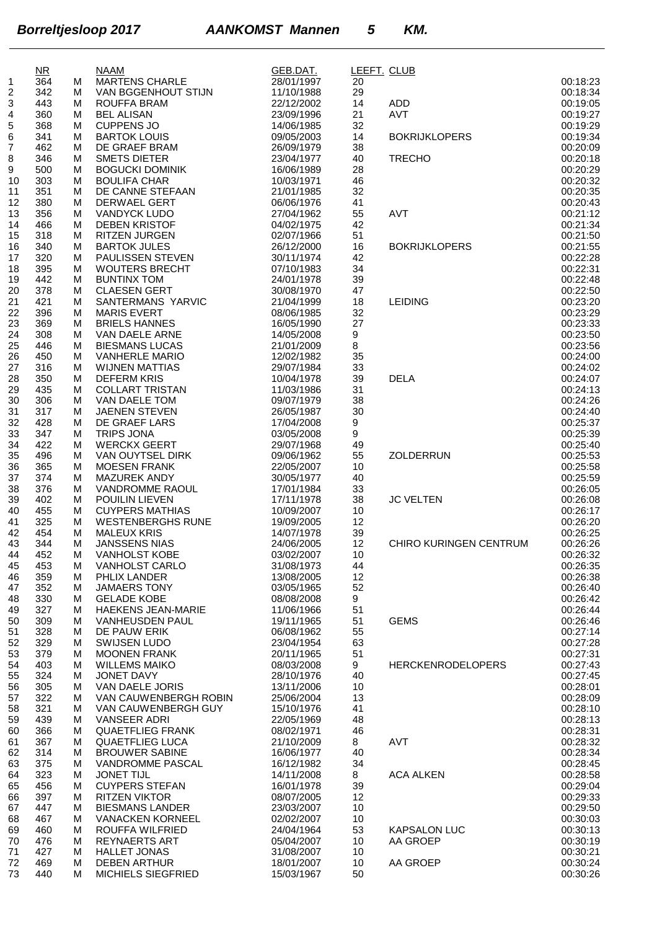|          | $\overline{\text{NR}}$ |        | <b>NAAM</b>                                    | GEB.DAT.                 | LEEFT. CLUB |                          |                      |
|----------|------------------------|--------|------------------------------------------------|--------------------------|-------------|--------------------------|----------------------|
| 1        | 364                    | м      | <b>MARTENS CHARLE</b>                          | 28/01/1997               | 20          |                          | 00:18:23             |
| 2        | 342                    | м      | VAN BGGENHOUT STIJN                            | 11/10/1988               | 29          |                          | 00:18:34             |
| 3        | 443                    | м      | <b>ROUFFA BRAM</b>                             | 22/12/2002               | 14          | ADD<br><b>AVT</b>        | 00:19:05             |
| 4<br>5   | 360<br>368             | м<br>М | <b>BEL ALISAN</b><br><b>CUPPENS JO</b>         | 23/09/1996<br>14/06/1985 | 21<br>32    |                          | 00:19:27<br>00:19:29 |
| 6        | 341                    | м      | <b>BARTOK LOUIS</b>                            | 09/05/2003               | 14          | <b>BOKRIJKLOPERS</b>     | 00:19:34             |
| 7        | 462                    | м      | DE GRAEF BRAM                                  | 26/09/1979               | 38          |                          | 00:20:09             |
| 8        | 346                    | М      | <b>SMETS DIETER</b>                            | 23/04/1977               | 40          | <b>TRECHO</b>            | 00:20:18             |
| 9        | 500                    | М      | <b>BOGUCKI DOMINIK</b>                         | 16/06/1989               | 28          |                          | 00:20:29             |
| 10       | 303                    | м      | <b>BOULIFA CHAR</b><br>DE CANNE STEFAAN        | 10/03/1971               | 46          |                          | 00:20:32<br>00:20:35 |
| 11<br>12 | 351<br>380             | М<br>м | <b>DERWAEL GERT</b>                            | 21/01/1985<br>06/06/1976 | 32<br>41    |                          | 00:20:43             |
| 13       | 356                    | м      | <b>VANDYCK LUDO</b>                            | 27/04/1962               | 55          | AVT                      | 00:21:12             |
| 14       | 466                    | м      | <b>DEBEN KRISTOF</b>                           | 04/02/1975               | 42          |                          | 00:21:34             |
| 15       | 318                    | м      | <b>RITZEN JURGEN</b>                           | 02/07/1966               | 51          |                          | 00:21:50             |
| 16       | 340                    | м      | <b>BARTOK JULES</b>                            | 26/12/2000               | 16          | <b>BOKRIJKLOPERS</b>     | 00:21:55             |
| 17       | 320                    | м      | PAULISSEN STEVEN                               | 30/11/1974               | 42          |                          | 00:22:28             |
| 18<br>19 | 395<br>442             | м<br>М | <b>WOUTERS BRECHT</b><br><b>BUNTINX TOM</b>    | 07/10/1983<br>24/01/1978 | 34<br>39    |                          | 00:22:31<br>00:22:48 |
| 20       | 378                    | м      | <b>CLAESEN GERT</b>                            | 30/08/1970               | 47          |                          | 00:22:50             |
| 21       | 421                    | М      | SANTERMANS YARVIC                              | 21/04/1999               | 18          | <b>LEIDING</b>           | 00:23:20             |
| 22       | 396                    | М      | <b>MARIS EVERT</b>                             | 08/06/1985               | 32          |                          | 00:23:29             |
| 23       | 369                    | М      | <b>BRIELS HANNES</b>                           | 16/05/1990               | 27          |                          | 00:23:33             |
| 24       | 308                    | м      | VAN DAELE ARNE                                 | 14/05/2008               | 9           |                          | 00:23:50             |
| 25       | 446                    | м      | <b>BIESMANS LUCAS</b>                          | 21/01/2009               | 8           |                          | 00:23:56             |
| 26<br>27 | 450<br>316             | м<br>м | <b>VANHERLE MARIO</b><br><b>WIJNEN MATTIAS</b> | 12/02/1982<br>29/07/1984 | 35<br>33    |                          | 00:24:00<br>00:24:02 |
| 28       | 350                    | м      | <b>DEFERM KRIS</b>                             | 10/04/1978               | 39          | <b>DELA</b>              | 00:24:07             |
| 29       | 435                    | М      | <b>COLLART TRISTAN</b>                         | 11/03/1986               | 31          |                          | 00:24:13             |
| 30       | 306                    | м      | VAN DAELE TOM                                  | 09/07/1979               | 38          |                          | 00:24:26             |
| 31       | 317                    | м      | <b>JAENEN STEVEN</b>                           | 26/05/1987               | 30          |                          | 00:24:40             |
| 32       | 428                    | м      | DE GRAEF LARS                                  | 17/04/2008               | 9           |                          | 00:25:37             |
| 33       | 347                    | м      | <b>TRIPS JONA</b>                              | 03/05/2008               | 9           |                          | 00:25:39             |
| 34       | 422                    | м      | <b>WERCKX GEERT</b>                            | 29/07/1968               | 49          | ZOLDERRUN                | 00:25:40<br>00:25:53 |
| 35<br>36 | 496<br>365             | М<br>м | VAN OUYTSEL DIRK<br><b>MOESEN FRANK</b>        | 09/06/1962<br>22/05/2007 | 55<br>10    |                          | 00:25:58             |
| 37       | 374                    | м      | <b>MAZUREK ANDY</b>                            | 30/05/1977               | 40          |                          | 00:25:59             |
| 38       | 376                    | М      | <b>VANDROMME RAOUL</b>                         | 17/01/1984               | 33          |                          | 00:26:05             |
| 39       | 402                    | м      | POUILIN LIEVEN                                 | 17/11/1978               | 38          | <b>JC VELTEN</b>         | 00:26:08             |
| 40       | 455                    | м      | <b>CUYPERS MATHIAS</b>                         | 10/09/2007               | 10          |                          | 00:26:17             |
| 41       | 325                    | м      | <b>WESTENBERGHS RUNE</b>                       | 19/09/2005               | 12          |                          | 00:26:20             |
| 42<br>43 | 454<br>344             | м<br>м | <b>MALEUX KRIS</b><br><b>JANSSENS NIAS</b>     | 14/07/1978<br>24/06/2005 | 39<br>12    | CHIRO KURINGEN CENTRUM   | 00:26:25<br>00:26:26 |
| 44       | 452                    |        | M VANHOLST KOBE                                | 03/02/2007               | 10          |                          | 00:26:32             |
| 45       | 453                    | M      | <b>VANHOLST CARLO</b>                          | 31/08/1973               | 44          |                          | 00:26:35             |
| 46       | 359                    | м      | PHLIX LANDER                                   | 13/08/2005               | 12          |                          | 00:26:38             |
| 47       | 352                    | м      | <b>JAMAERS TONY</b>                            | 03/05/1965               | 52          |                          | 00:26:40             |
| 48       | 330                    | м      | <b>GELADE KOBE</b>                             | 08/08/2008               | 9           |                          | 00:26:42             |
| 49       | 327                    | М      | <b>HAEKENS JEAN-MARIE</b>                      | 11/06/1966               | 51          | <b>GEMS</b>              | 00:26:44             |
| 50<br>51 | 309<br>328             | м<br>м | <b>VANHEUSDEN PAUL</b><br>DE PAUW ERIK         | 19/11/1965<br>06/08/1962 | 51<br>55    |                          | 00:26:46<br>00:27:14 |
| 52       | 329                    | м      | <b>SWIJSEN LUDO</b>                            | 23/04/1954               | 63          |                          | 00:27:28             |
| 53       | 379                    | м      | <b>MOONEN FRANK</b>                            | 20/11/1965               | 51          |                          | 00:27:31             |
| 54       | 403                    | м      | <b>WILLEMS MAIKO</b>                           | 08/03/2008               | 9           | <b>HERCKENRODELOPERS</b> | 00:27:43             |
| 55       | 324                    | М      | JONET DAVY                                     | 28/10/1976               | 40          |                          | 00:27:45             |
| 56       | 305                    | м      | VAN DAELE JORIS                                | 13/11/2006               | 10          |                          | 00:28:01             |
| 57<br>58 | 322<br>321             | м<br>м | VAN CAUWENBERGH ROBIN<br>VAN CAUWENBERGH GUY   | 25/06/2004<br>15/10/1976 | 13<br>41    |                          | 00:28:09<br>00:28:10 |
| 59       | 439                    | м      | <b>VANSEER ADRI</b>                            | 22/05/1969               | 48          |                          | 00:28:13             |
| 60       | 366                    | м      | <b>QUAETFLIEG FRANK</b>                        | 08/02/1971               | 46          |                          | 00:28:31             |
| 61       | 367                    | М      | <b>QUAETFLIEG LUCA</b>                         | 21/10/2009               | 8           | AVT                      | 00:28:32             |
| 62       | 314                    | м      | <b>BROUWER SABINE</b>                          | 16/06/1977               | 40          |                          | 00:28:34             |
| 63       | 375                    | м      | <b>VANDROMME PASCAL</b>                        | 16/12/1982               | 34          |                          | 00:28:45             |
| 64       | 323<br>456             | м      | <b>JONET TIJL</b><br><b>CUYPERS STEFAN</b>     | 14/11/2008<br>16/01/1978 | 8           | <b>ACA ALKEN</b>         | 00:28:58<br>00:29:04 |
| 65<br>66 | 397                    | м<br>м | <b>RITZEN VIKTOR</b>                           | 08/07/2005               | 39<br>12    |                          | 00:29:33             |
| 67       | 447                    | М      | <b>BIESMANS LANDER</b>                         | 23/03/2007               | 10          |                          | 00:29:50             |
| 68       | 467                    | м      | <b>VANACKEN KORNEEL</b>                        | 02/02/2007               | 10          |                          | 00:30:03             |
| 69       | 460                    | м      | ROUFFA WILFRIED                                | 24/04/1964               | 53          | <b>KAPSALON LUC</b>      | 00:30:13             |
| 70       | 476                    | м      | <b>REYNAERTS ART</b>                           | 05/04/2007               | 10          | AA GROEP                 | 00:30:19             |
| 71       | 427                    | м      | <b>HALLET JONAS</b>                            | 31/08/2007               | 10          |                          | 00:30:21             |
| 72<br>73 | 469<br>440             | м<br>м | <b>DEBEN ARTHUR</b><br>MICHIELS SIEGFRIED      | 18/01/2007<br>15/03/1967 | 10<br>50    | AA GROEP                 | 00:30:24<br>00:30:26 |
|          |                        |        |                                                |                          |             |                          |                      |